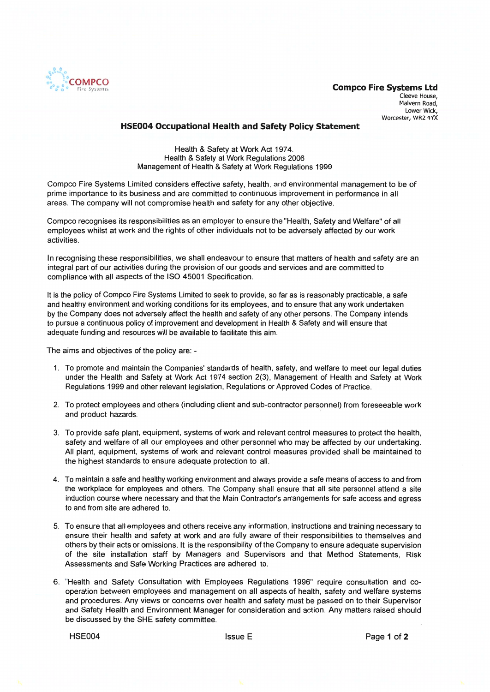

## **HSE004 Occupational Health and Safety Policy Statement**

Health & Safety at Work Act 1974. Health & Safety at Work Regulations 2006 Management of Health & Safety at Work Regulations 1999

Compco Fire Systems Limited considers effective safety, health, and environmental management to be of prime importance to its business and are committed to continuous improvement in performance in all areas. The company will not compromise health and safety for any other objective.

Compco recognises its responsibilities as an employer to ensure the "Health, Safety and Welfare" of all employees whilst at work and the rights of other individuals not to be adversely affected by our work activities.

In recognising these responsibilities, we shall endeavour to ensure that matters of health and safety are an integral part of our activities during the provision of our goods and services and are committed to compliance with all aspects of the ISO 45001 Specification.

It is the policy of Compco Fire Systems Limited to seek to provide, so far as is reasonably practicable, a safe and healthy environment and working conditions for its employees, and to ensure that any work undertaken by the Company does not adversely affect the health and safety of any other persons. The Company intends to pursue a continuous policy of improvement and development in Health & Safety and will ensure that adequate funding and resources will be available to facilitate this aim.

The aims and objectives of the policy are: -

- 1. To promote and maintain the Companies' standards of health, safety, and welfare to meet our legal duties under the Health and Safety at Work Act 1974 section 2(3), Management of Health and Safety at Work Regulations 1999 and other relevant legislation, Regulations or Approved Codes of Practice.
- 2. To protect employees and others (including client and sub-contractor personnel) from foreseeable work and product hazards.
- 3. To provide safe plant, equipment, systems of work and relevant control measures to protect the health, safety and welfare of all our employees and other personnel who may be affected by our undertaking. All plant, equipment, systems of work and relevant control measures provided shall be maintained to the highest standards to ensure adequate protection to all.
- 4. To maintain a safe and healthy working environment and always provide a safe means of access to and from the workplace for employees and others. The Company shall ensure that all site personnel attend a site induction course where necessary and that the Main Contractor's arrangements for safe access and egress to and from site are adhered to.
- 5. To ensure that all employees and others receive any information, instructions and training necessary to ensure their health and safety at work and are fully aware of their responsibilities to themselves and others by their acts or omissions. It is the responsibility of the Company to ensure adequate supervision of the site installation staff by Managers and Supervisors and that Method Statements, Risk Assessments and Safe Working Practices are adhered to.
- 6. 'Health and Safety Consultation with Employees Regulations 1996" require consultation and cooperation between employees and management on all aspects of health, safety and welfare systems and procedures. Any views or concerns over health and safety must be passed on to their Supervisor and Safety Health and Environment Manager for consideration and action. Any matters raised should be discussed by the SHE safety committee.

**HSE004**